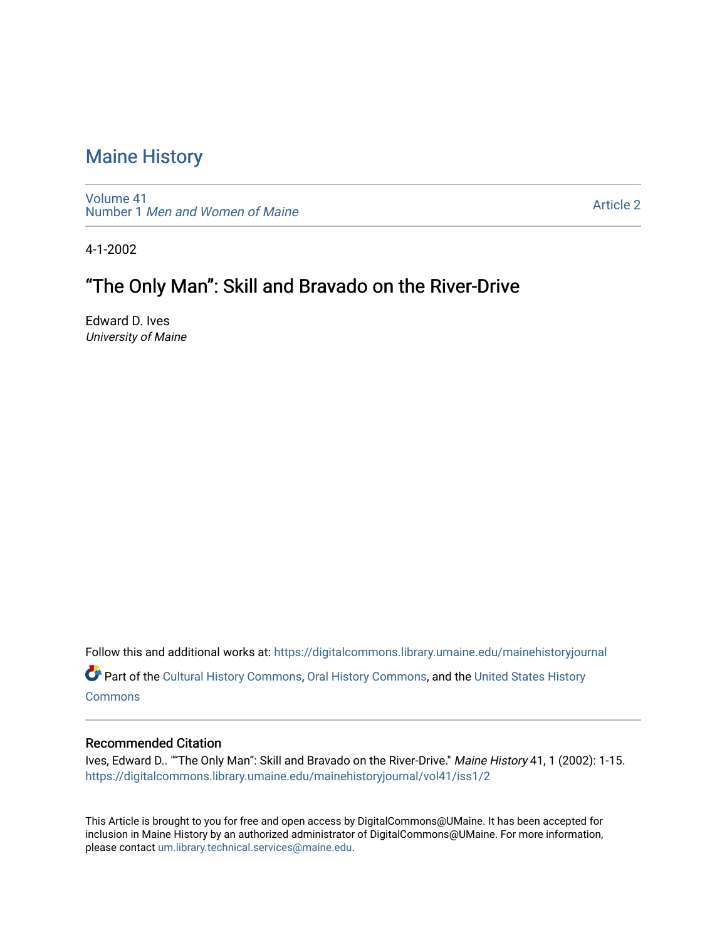[Volume 41](https://digitalcommons.library.umaine.edu/mainehistoryjournal/vol41) Number 1 [Men and Women of Maine](https://digitalcommons.library.umaine.edu/mainehistoryjournal/vol41/iss1)

[Article 2](https://digitalcommons.library.umaine.edu/mainehistoryjournal/vol41/iss1/2) 

4-1-2002

# "The Only Man": Skill and Bravado on the River-Drive

Edward D. Ives University of Maine

Follow this and additional works at: [https://digitalcommons.library.umaine.edu/mainehistoryjournal](https://digitalcommons.library.umaine.edu/mainehistoryjournal?utm_source=digitalcommons.library.umaine.edu%2Fmainehistoryjournal%2Fvol41%2Fiss1%2F2&utm_medium=PDF&utm_campaign=PDFCoverPages) 

Part of the [Cultural History Commons](http://network.bepress.com/hgg/discipline/496?utm_source=digitalcommons.library.umaine.edu%2Fmainehistoryjournal%2Fvol41%2Fiss1%2F2&utm_medium=PDF&utm_campaign=PDFCoverPages), [Oral History Commons,](http://network.bepress.com/hgg/discipline/1195?utm_source=digitalcommons.library.umaine.edu%2Fmainehistoryjournal%2Fvol41%2Fiss1%2F2&utm_medium=PDF&utm_campaign=PDFCoverPages) and the [United States History](http://network.bepress.com/hgg/discipline/495?utm_source=digitalcommons.library.umaine.edu%2Fmainehistoryjournal%2Fvol41%2Fiss1%2F2&utm_medium=PDF&utm_campaign=PDFCoverPages) **[Commons](http://network.bepress.com/hgg/discipline/495?utm_source=digitalcommons.library.umaine.edu%2Fmainehistoryjournal%2Fvol41%2Fiss1%2F2&utm_medium=PDF&utm_campaign=PDFCoverPages)** 

#### Recommended Citation

Ives, Edward D.. ""The Only Man": Skill and Bravado on the River-Drive." Maine History 41, 1 (2002): 1-15. [https://digitalcommons.library.umaine.edu/mainehistoryjournal/vol41/iss1/2](https://digitalcommons.library.umaine.edu/mainehistoryjournal/vol41/iss1/2?utm_source=digitalcommons.library.umaine.edu%2Fmainehistoryjournal%2Fvol41%2Fiss1%2F2&utm_medium=PDF&utm_campaign=PDFCoverPages)

This Article is brought to you for free and open access by DigitalCommons@UMaine. It has been accepted for inclusion in Maine History by an authorized administrator of DigitalCommons@UMaine. For more information, please contact [um.library.technical.services@maine.edu.](mailto:um.library.technical.services@maine.edu)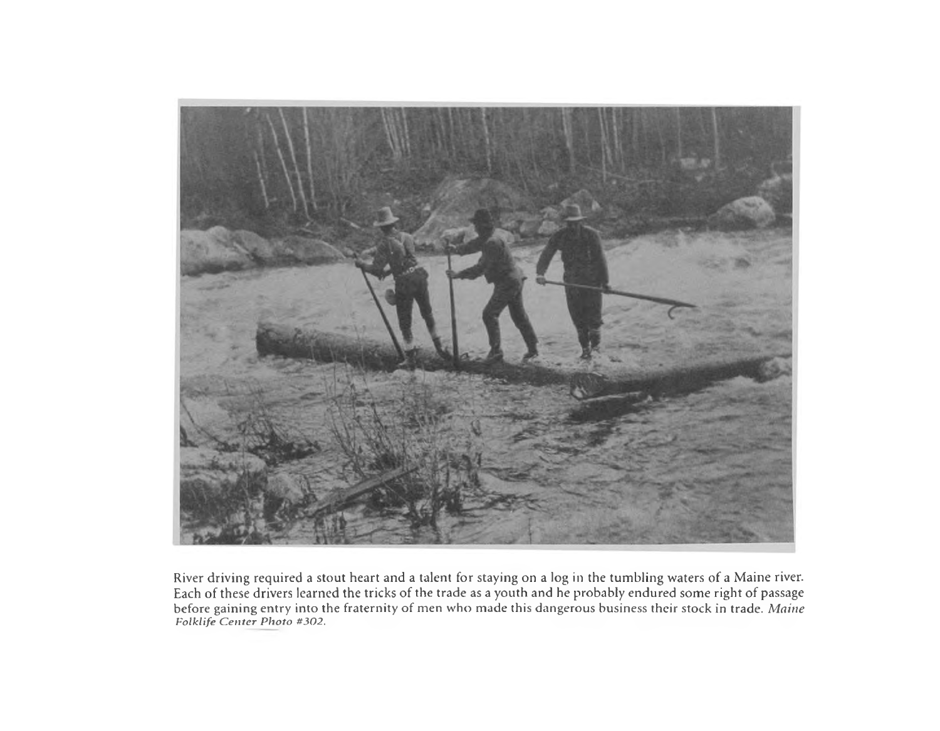

River driving required a stout heart and a talent for staying on a log in the tumbling waters of a Maine river. Each of these drivers learned the tricks of the trade as a youth and he probably endured some right of passage before gaining entry into the fraternity of men who made this dangerous business their stock in trade. *Maine F olklife C e n te r P h o to #302.*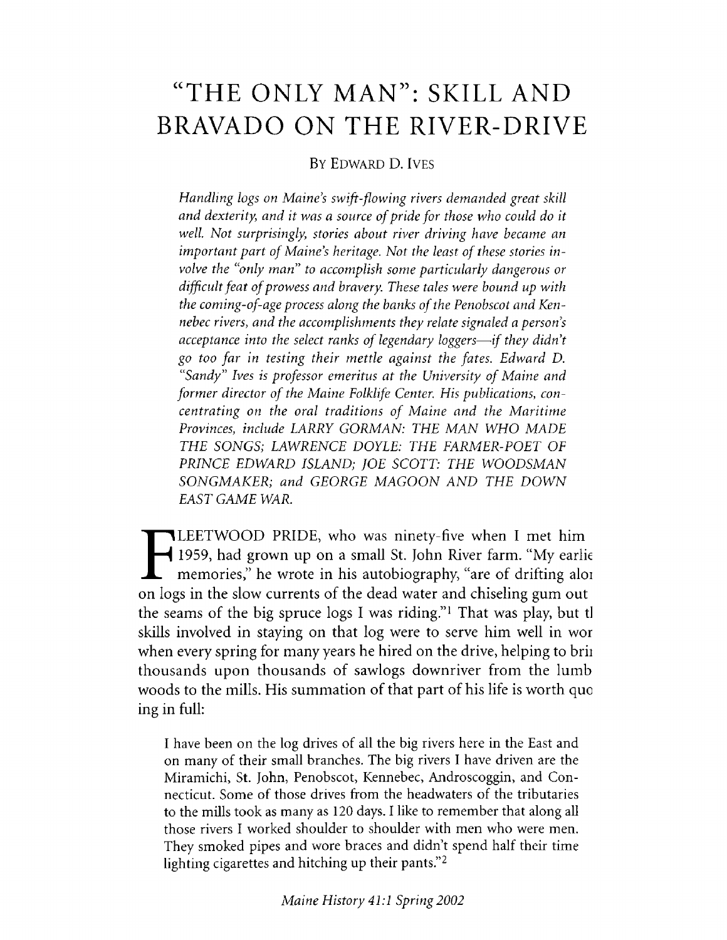# **"THE ONLY MAN": SKILL AND BRAVADO ON THE RIVER-DRIVE**

## By Edward D. Ives

*Handling logs on Maine's swift-flowing rivers demanded great skill* and dexterity, and it was a source of pride for those who could do it *well Not surprisingly*; *stories about river driving have became an* important part of Maine's heritage. Not the least of these stories in*volve the "only man" to accomplish some particularly dangerous or* difficult feat of prowess and bravery. These tales were bound up with the coming-of-age process along the banks of the Penobscot and Ken*nebec rivers, and the accomplishments they relate signaled a person's acceptance into the select ranks of legendary loggers—if they didn't go too far in testing their mettle against the fates. Edward D.* "Sandy" Ives is professor emeritus at the University of Maine and former director of the Maine Folklife Center. His publications, con*centrating on the oral traditions of Maine and the Maritime Provinces*, *include LARRY GORMAN: THE MAN WHO MADE THE SONGS; LAWRENCE DOYLE: THE FARMER-POET OF PRINCE EDWARD ISLAND; JOE SCOTT: THE WOODSMAN SONGMAKER; and GEORGE MAGOON AND THE DOWN EAST GAME WAR.*

**FILEETWOOD PRIDE, who was ninety-five when I met him**<br>1959, had grown up on a small St. John River farm. "My earli<br>memories," he wrote in his autobiography, "are of drifting alo<br>on logs in the slow currents of the dead wa 1959, had grown up on a small St. John River farm. "My earlie memories," he wrote in his autobiography, "are of drifting aloi on logs in the slow currents of the dead water and chiseling gum out the seams of the big spruce logs I was riding." $\scriptstyle\rm I$  That was play, but tl skills involved in staying on that log were to serve him well in wor when every spring for many years he hired on the drive, helping to brii thousands upon thousands of sawlogs downriver from the lumb woods to the mills. His summation of that part of his life is worth quo ing in full:

I have been on the log drives of all the big rivers here in the East and on many of their small branches. The big rivers I have driven are the Miramichi, St. John, Penobscot, Kennebec, Androscoggin, and Connecticut. Some of those drives from the headwaters of the tributaries to the mills took as many as 120 days. I like to remember that along all those rivers I worked shoulder to shoulder with men who were men. They smoked pipes and wore braces and didn't spend half their time lighting cigarettes and hitching up their pants."2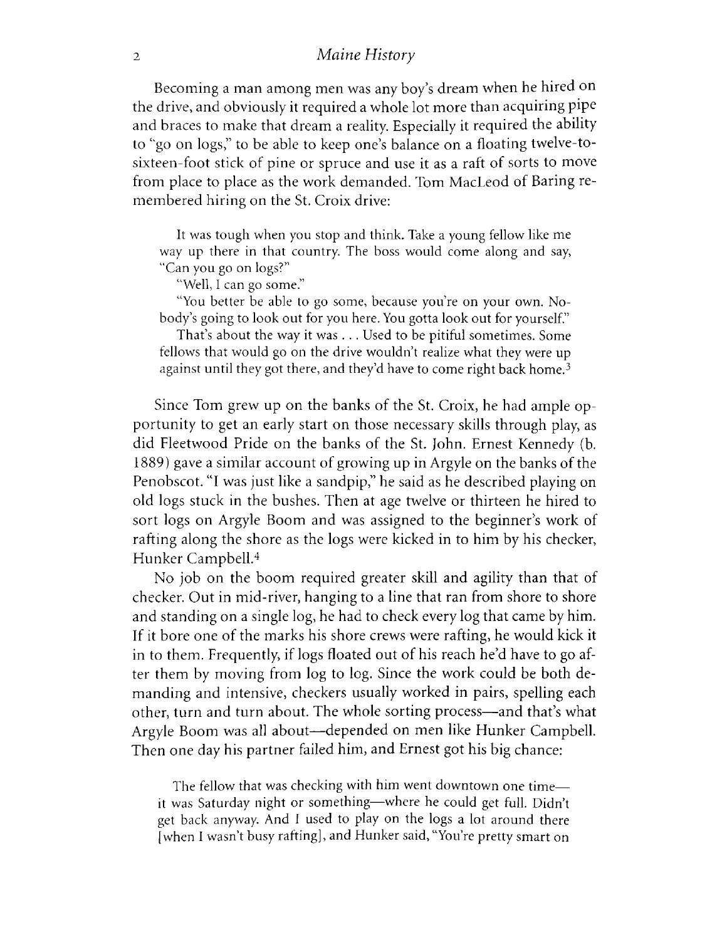Becoming a man among men was any boy's dream when he hired on the drive, and obviously it required a whole lot more than acquiring pipe and braces to make that dream a reality. Especially it required the ability to "go on logs," to be able to keep one's balance on a floating twelve-tosixteen-foot stick of pine or spruce and use it as a raft of sorts to move from place to place as the work demanded. Tom MacLeod of Baring remembered hiring on the St. Croix drive:

It was tough when you stop and think. Take a young fellow like me way up there in that country. The boss would come along and say, "Can you go on logs?"

"Well, I can go some."

"You better be able to go some, because you're on your own. Nobody's going to look out for you here. You gotta look out for yourself."

That's about the way it was . . . Used to be pitiful sometimes. Some fellows that would go on the drive wouldn't realize what they were up against until they got there, and they'd have to come right back home.<sup>3</sup>

Since Tom grew up on the banks of the St. Croix, he had ample opportunity to get an early start on those necessary skills through play, as did Fleetwood Pride on the banks of the St. John. Ernest Kennedy (b. 1889) gave a similar account of growing up in Argyle on the banks of the Penobscot. "I was just like a sandpip," he said as he described playing on old logs stuck in the bushes. Then at age twelve or thirteen he hired to sort logs on Argyle Boom and was assigned to the beginner's work of rafting along the shore as the logs were kicked in to him by his checker, Hunker Campbell.4

No job on the boom required greater skill and agility than that of checker. Out in mid-river, hanging to a line that ran from shore to shore and standing on a single log, he had to check every log that came by him. If it bore one of the marks his shore crews were raffing, he would kick it in to them. Frequently, if logs floated out of his reach he'd have to go after them by moving from log to log. Since the work could be both demanding and intensive, checkers usually worked in pairs, spelling each other, turn and turn about. The whole sorting process— and that's what Argyle Boom was all about— depended on men like Hunker Campbell. Then one day his partner failed him, and Ernest got his big chance:

The fellow that was checking with him went downtown one time it was Saturday night or something— where he could get full. Didn't get back anyway. And I used to play on the logs a lot around there [when I wasn't busy rafting], and Hunker said, "You're pretty smart on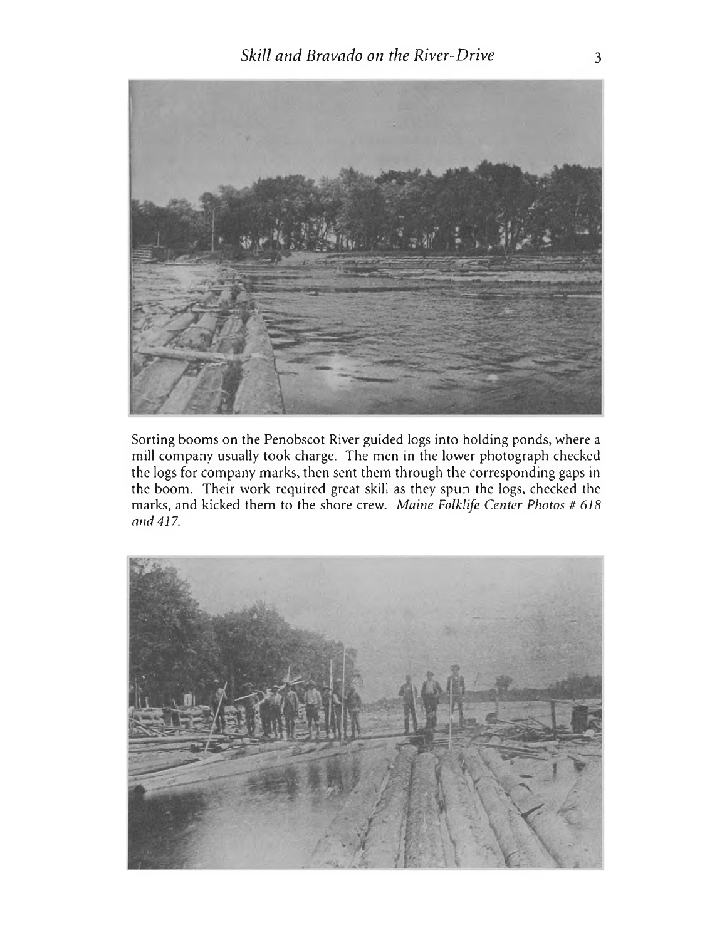

Sorting booms on the Penobscot River guided logs into holding ponds, where a mill company usually took charge. The men in the lower photograph checked the logs for company marks, then sent them through the corresponding gaps in the boom. Their work required great skill as they spun the logs, checked the marks, and kicked them to the shore crew. *Maine Folklife Center Photos # 618 and 417.*

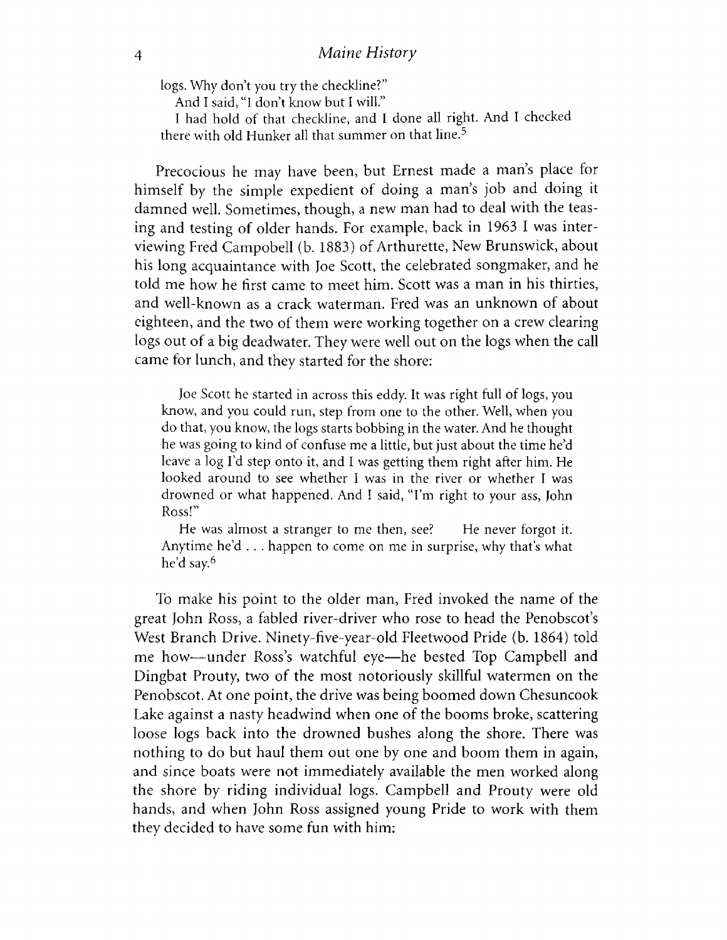logs. Why don't you try the checkline?"

And I said, "I don't know but I will."

I had hold of that checkline, and I done all right. And I checked there with old Hunker all that summer on that line.<sup>5</sup>

Precocious he may have been, but Ernest made a man's place for himself by the simple expedient of doing a man's job and doing it damned well. Sometimes, though, a new man had to deal with the teasing and testing of older hands. For example, back in 1963 I was interviewing Fred Campobell (b. 1883) of Arthurette, New Brunswick, about his long acquaintance with Joe Scott, the celebrated songmaker, and he told me how he first came to meet him. Scott was a man in his thirties, and well-known as a crack waterman. Fred was an unknown of about eighteen, and the two of them were working together on a crew clearing logs out of a big deadwater. They were well out on the logs when the call came for lunch, and they started for the shore:

Joe Scott he started in across this eddy. It was right full of logs, you know, and you could run, step from one to the other. Well, when you do that, you know, the logs starts bobbing in the water. And he thought he was going to kind of confuse me a little, but just about the time he'd leave a log I'd step onto it, and I was getting them right after him. He looked around to see whether I was in the river or whether I was drowned or what happened. And I said, "I'm right to your ass, John Ross!"

He was almost a stranger to me then, see? He never forgot it. Anytime he'd . . . happen to come on me in surprise, why that's what he'd say.6

To make his point to the older man, Fred invoked the name of the great John Ross, a fabled river-driver who rose to head the Penobscot's West Branch Drive. Ninety-five-year-old Fleetwood Pride (b. 1864) told me how— under Ross's watchful eye— he bested Top Campbell and Dingbat Prouty, two of the most notoriously skillful watermen on the Penobscot. At one point, the drive was being boomed down Chesuncook Lake against a nasty headwind when one of the booms broke, scattering loose logs back into the drowned bushes along the shore. There was nothing to do but haul them out one by one and boom them in again, and since boats were not immediately available the men worked along the shore by riding individual logs. Campbell and Prouty were old hands, and when John Ross assigned young Pride to work with them they decided to have some fun with him: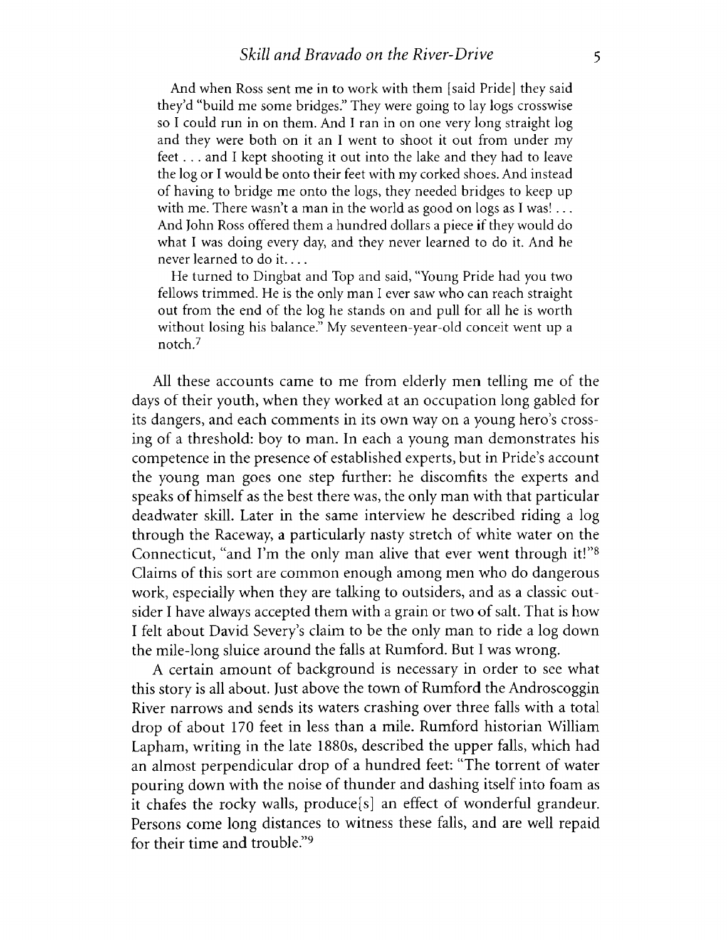And when Ross sent me in to work with them [said Pride] they said they'd "build me some bridges." They were going to lay logs crosswise so I could run in on them. And I ran in on one very long straight log and they were both on it an I went to shoot it out from under my feet . . . and I kept shooting it out into the lake and they had to leave the log or I would be onto their feet with my corked shoes. And instead of having to bridge me onto the logs, they needed bridges to keep up with me. There wasn't a man in the world as good on logs as I was! .. . And John Ross offered them a hundred dollars a piece if they would do what I was doing every day, and they never learned to do it. And he never learned to do it....

He turned to Dingbat and Top and said, "Young Pride had you two fellows trimmed. He is the only man I ever saw who can reach straight out from the end of the log he stands on and pull for all he is worth without losing his balance." My seventeen-year-old conceit went up a notch.7

All these accounts came to me from elderly men telling me of the days of their youth, when they worked at an occupation long gabled for its dangers, and each comments in its own way on a young hero's crossing of a threshold: boy to man. In each a young man demonstrates his competence in the presence of established experts, but in Pride's account the young man goes one step further: he discomfits the experts and speaks of himself as the best there was, the only man with that particular deadwater skill. Later in the same interview he described riding a log through the Raceway, a particularly nasty stretch of white water on the Connecticut, "and I'm the only man alive that ever went through it!"<sup>8</sup> Claims of this sort are common enough among men who do dangerous work, especially when they are talking to outsiders, and as a classic outsider I have always accepted them with a grain or two of salt. That is how I felt about David Severy's claim to be the only man to ride a log down the mile-long sluice around the falls at Rumford. But I was wrong.

A certain amount of background is necessary in order to see what this story is all about. Just above the town of Rumford the Androscoggin River narrows and sends its waters crashing over three falls with a total drop of about 170 feet in less than a mile. Rumford historian William Lapham, writing in the late 1880s, described the upper falls, which had an almost perpendicular drop of a hundred feet: "The torrent of water pouring down with the noise of thunder and dashing itself into foam as it chafes the rocky walls, produce[s] an effect of wonderful grandeur. Persons come long distances to witness these falls, and are well repaid for their time and trouble."<sup>9</sup>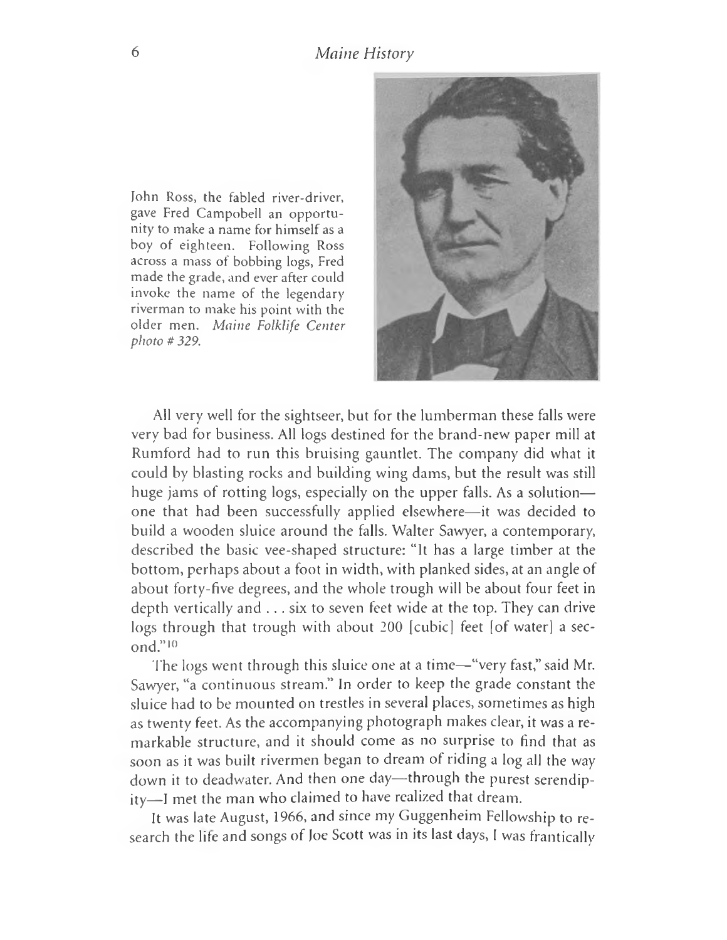John Ross, the fabled river-driver, gave Fred Campobell an opportunity to make a name for himself as a boy of eighteen. Following Ross across a mass of bobbing logs, Fred made the grade, and ever after could invoke the name of the legendary riverman to make his point with the older men. *Maine Folklife Center photo # 329.*



All very well for the sightseer, but for the lumberman these falls were very bad for business. All logs destined for the brand-new paper mill at Rumford had to run this bruising gauntlet. The company did what it could by blasting rocks and building wing dams, but the result was still huge jams of rotting logs, especially on the upper falls. As a solution one that had been successfully applied elsewhere— it was decided to build a wooden sluice around the falls. Walter Sawyer, a contemporary, described the basic vee-shaped structure: "It has a large timber at the bottom, perhaps about a foot in width, with planked sides, at an angle of about forty-five degrees, and the whole trough will be about four feet in depth vertically and . . . six to seven feet wide at the top. They can drive logs through that trough with about 200 [cubic] feet [of water] a second." 10

The logs went through this sluice one at a time— "very fast," said Mr. Sawyer, "a continuous stream." In order to keep the grade constant the sluice had to be mounted on trestles in several places, sometimes as high as twenty feet. As the accompanying photograph makes clear, it was a remarkable structure, and it should come as no surprise to find that as soon as it was built rivermen began to dream of riding a log all the way down it to deadwater. And then one day— through the purest serendipity-I met the man who claimed to have realized that dream.

It was late August, 1966, and since my Guggenheim Fellowship to research the life and songs of Joe Scott was in its last days, I was frantically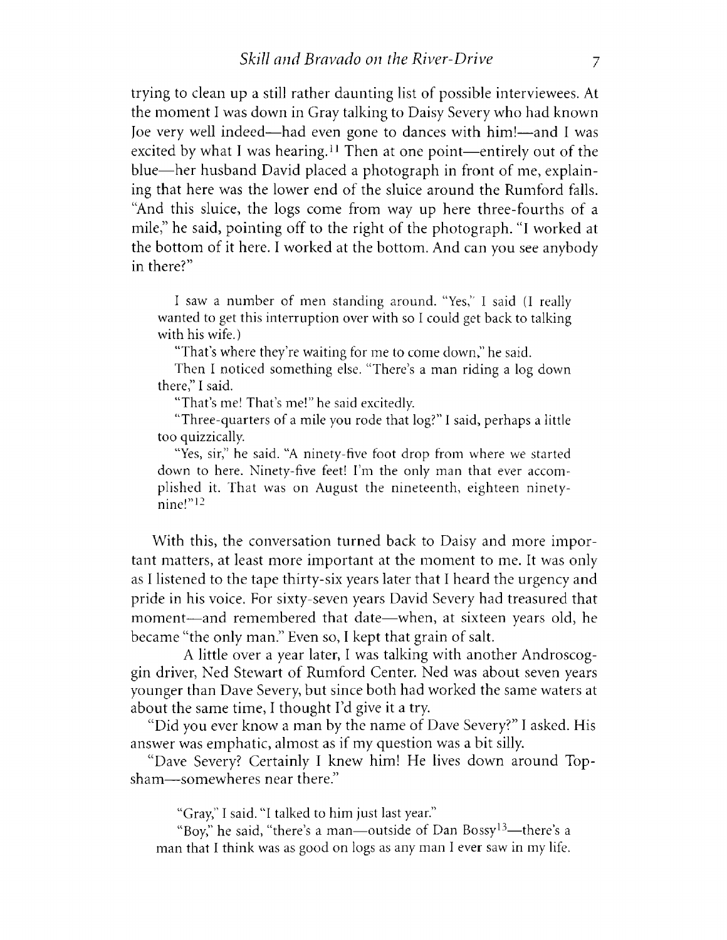trying to clean up a still rather daunting list of possible interviewees. At the moment I was down in Gray talking to Daisy Severy who had known Joe very well indeed— had even gone to dances with him!— and I was excited by what I was hearing.<sup>11</sup> Then at one point—entirely out of the blue— her husband David placed a photograph in front of me, explaining that here was the lower end of the sluice around the Rumford falls. "And this sluice, the logs come from way up here three-fourths of a mile," he said, pointing off to the right of the photograph. "I worked at the bottom of it here. I worked at the bottom. And can you see anybody in there?"

I saw a number of men standing around. "Yes," I said (I really wanted to get this interruption over with so I could get back to talking with his wife.)

"That's where they're waiting for me to come down," he said.

Then I noticed something else. "There's a man riding a log down there," I said.

"That's me! That's me!" he said excitedly.

"Three-quarters of a mile you rode that log?" I said, perhaps a little too quizzically.

"Yes, sir," he said. "A ninety-five foot drop from where we started down to here. Ninety-five feet! I'm the only man that ever accomplished it. That was on August the nineteenth, eighteen ninetynine!

With this, the conversation turned back to Daisy and more important matters, at least more important at the moment to me. It was only as I listened to the tape thirty-six years later that I heard the urgency and pride in his voice. For sixty-seven years David Severy had treasured that moment— and remembered that date— when, at sixteen years old, he became "the only man." Even so, I kept that grain of salt.

A little over a year later, I was talking with another Androscoggin driver, Ned Stewart of Rumford Center. Ned was about seven years younger than Dave Severy, but since both had worked the same waters at about the same time, I thought I'd give it a try.

"Did you ever know a man by the name of Dave Severy?" I asked. His answer was emphatic, almost as if my question was a bit silly.

"Dave Severy? Certainly I knew him! He lives down around Topsham— somewheres near there."

"Gray," I said. "I talked to him just last year."

"Boy," he said, "there's a man— outside of Dan Bossy13— there's a man that I think was as good on logs as any man I ever saw in my life.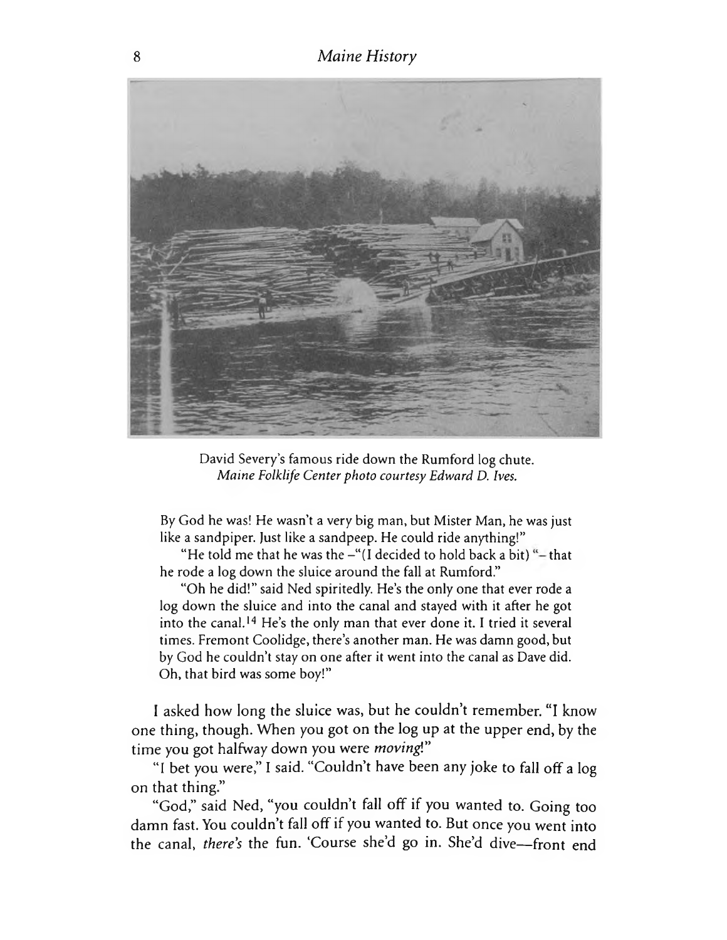

David Severy's famous ride down the Rumford log chute. *Maine Folklife Center photo courtesy Edward D. Ives.*

By God he was! He wasn't a very big man, but Mister Man, he was just like a sandpiper. Just like a sandpeep. He could ride anything!"

"He told me that he was the  $-$ "(I decided to hold back a bit) " $-$  that he rode a log down the sluice around the fall at Rumford."

"Oh he did!" said Ned spiritedly. He's the only one that ever rode a log down the sluice and into the canal and stayed with it after he got into the canal.14 He's the only man that ever done it. I tried it several times. Fremont Coolidge, there's another man. He was damn good, but by God he couldn't stay on one after it went into the canal as Dave did. Oh, that bird was some boy!"

1 asked how long the sluice was, but he couldn't remember. "I know one thing, though. When you got on the log up at the upper end, by the time you got halfway down you were *moving*!"

"I bet you were," I said. "Couldn't have been any joke to fall off a log on that thing."

"God," said Ned, "you couldn't fall off if you wanted to. Going too damn fast. You couldn't fall off if you wanted to. But once you went into the canal, *there's* the fun. 'Course she'd go in. She'd dive— front end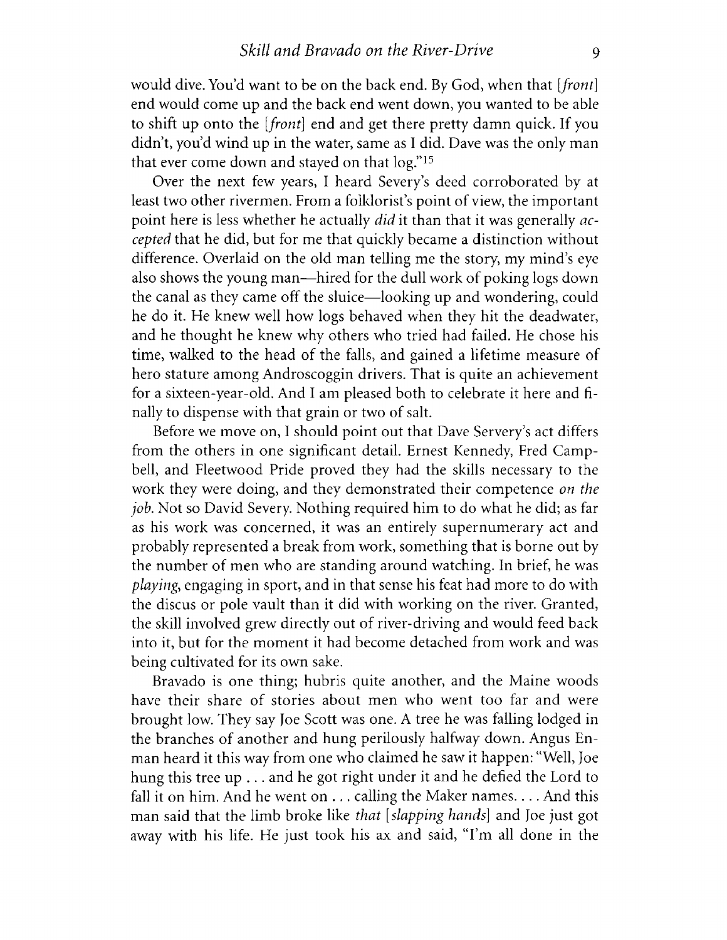would dive. You'd want to be on the back end. By God, when that [*front*] end would come up and the back end went down, you wanted to be able to shift up onto the *[front]* end and get there pretty damn quick. If you didn't, you'd wind up in the water, same as I did. Dave was the only man that ever come down and stayed on that log."<sup>15</sup>

Over the next few years, I heard Severy's deed corroborated by at least two other rivermen. From a folklorist's point of view, the important point here is less whether he actually *did* it than that it was generally *accepted* that he did, but for me that quickly became a distinction without difference. Overlaid on the old man telling me the story, my mind's eye also shows the young man—hired for the dull work of poking logs down the canal as they came off the sluice— looking up and wondering, could he do it. He knew well how logs behaved when they hit the deadwater, and he thought he knew why others who tried had failed. He chose his time, walked to the head of the falls, and gained a lifetime measure of hero stature among Androscoggin drivers. That is quite an achievement for a sixteen-year-old. And I am pleased both to celebrate it here and finally to dispense with that grain or two of salt.

Before we move on, I should point out that Dave Servery's act differs from the others in one significant detail. Ernest Kennedy, Fred Campbell, and Fleetwood Pride proved they had the skills necessary to the work they were doing, and they demonstrated their competence *on the job.* Not so David Severy. Nothing required him to do what he did; as far as his work was concerned, it was an entirely supernumerary act and probably represented a break from work, something that is borne out by the number of men who are standing around watching. In brief, he was *playing*, engaging in sport, and in that sense his feat had more to do with the discus or pole vault than it did with working on the river. Granted, the skill involved grew directly out of river-driving and would feed back into it, but for the moment it had become detached from work and was being cultivated for its own sake.

Bravado is one thing; hubris quite another, and the Maine woods have their share of stories about men who went too far and were brought low. They say Joe Scott was one. A tree he was falling lodged in the branches of another and hung perilously halfway down. Angus Enman heard it this way from one who claimed he saw it happen: "Well, Joe hung this tree up . . . and he got right under it and he defied the Lord to fall it on him. And he went on  $\dots$  calling the Maker names... . And this man said that the limb broke like *that [slapping hands]* and Joe just got away with his life. He just took his ax and said, "I'm all done in the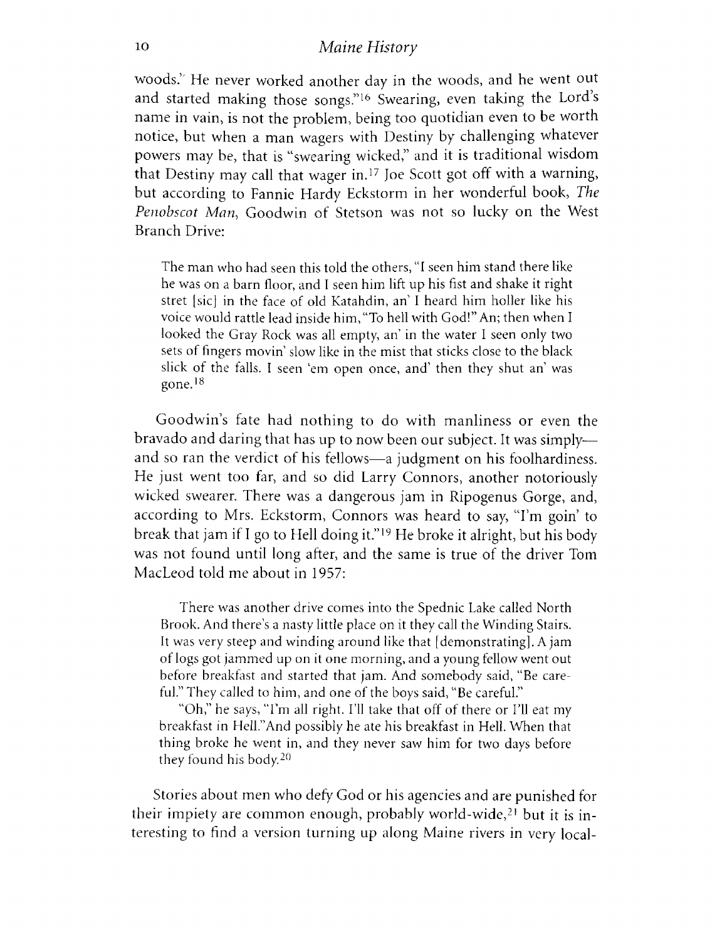woods." He never worked another day in the woods, and he went out and started making those songs."<sup>16</sup> Swearing, even taking the Lord's name in vain, is not the problem, being too quotidian even to be worth notice, but when a man wagers with Destiny by challenging whatever powers may be, that is "swearing wicked," and it is traditional wisdom that Destiny may call that wager in.17 Joe Scott got off with a warning, but according to Fannie Hardy Eckstorm in her wonderful book, *The Penobscot Man*, Goodwin of Stetson was not so lucky on the West Branch Drive:

The man who had seen this told the others, "I seen him stand there like he was on a barn floor, and I seen him lift up his fist and shake it right stret [sic] in the face of old Katahdin, an' I heard him holler like his voice would rattle lead inside him, "To hell with God!" An; then when I looked the Gray Rock was all empty, an' in the water I seen only two sets of fingers movin' slow like in the mist that sticks close to the black slick of the falls. I seen 'em open once, and' then they shut an' was gone.18

Goodwin's fate had nothing to do with manliness or even the bravado and daring that has up to now been our subject. It was simply and so ran the verdict of his fellows— a judgment on his foolhardiness. He just went too far, and so did Larry Connors, another notoriously wicked swearer. There was a dangerous jam in Ripogenus Gorge, and, according to Mrs. Eckstorm, Connors was heard to say, "I'm goin' to break that jam if I go to Hell doing it." 19 He broke it alright, but his body was not found until long after, and the same is true of the driver Tom MacLeod told me about in 1957:

There was another drive comes into the Spednic Lake called North Brook. And there's a nasty little place on it they call the Winding Stairs. It was very steep and winding around like that [demonstrating]. A jam of logs got jammed up on it one morning, and a young fellow went out before breakfast and started that jam. And somebody said, "Be careful." They called to him, and one of the boys said, "Be careful."

"Oh," he says, "I'm all right. I'll take that off of there or I'll eat my breakfast in HelL'And possibly he ate his breakfast in Hell. When that thing broke he went in, and they never saw him for two days before they found his body.20

Stories about men who defy God or his agencies and are punished for their impiety are common enough, probably world-wide,21 but it is interesting to find a version turning up along Maine rivers in very local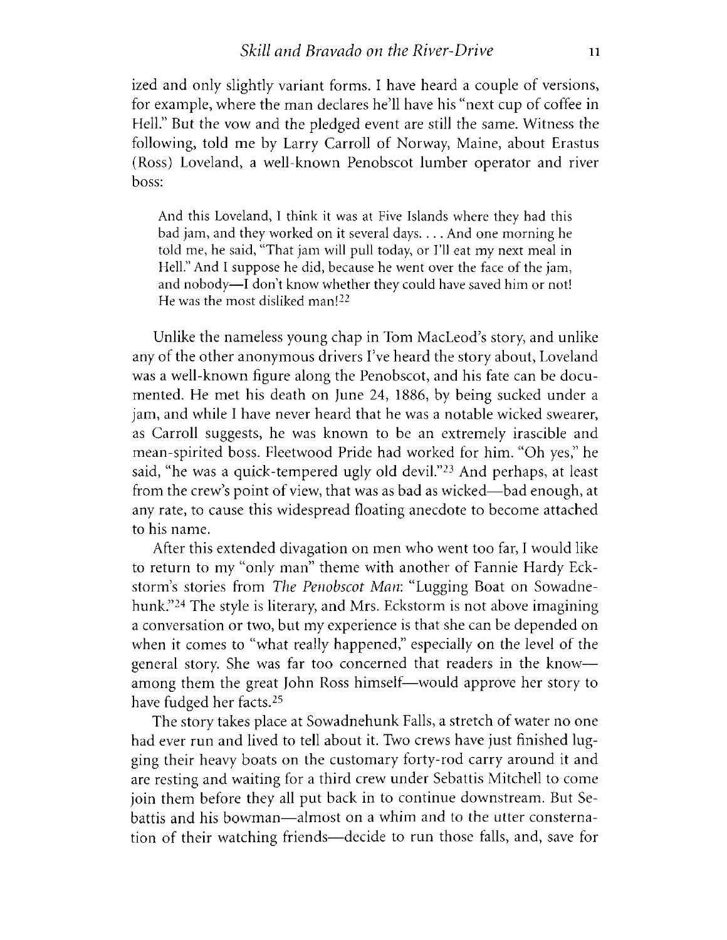ized and only slightly variant forms. I have heard a couple of versions, for example, where the man declares he'll have his "next cup of coffee in Hell." But the vow and the pledged event are still the same. Witness the following, told me by Larry Carroll of Norway, Maine, about Erastus (Ross) Loveland, a well-known Penobscot lumber operator and river boss:

And this Loveland, I think it was at Five Islands where they had this bad jam, and they worked on it several days. . . . And one morning he told me, he said, "That jam will pull today, or Til eat my next meal in Hell." And I suppose he did, because he went over the face of the jam, and nobody—I don't know whether they could have saved him or not! He was the most disliked man!22

Unlike the nameless young chap in Tom MacLeod's story, and unlike any of the other anonymous drivers I've heard the story about, Loveland was a well-known figure along the Penobscot, and his fate can be documented. He met his death on June 24, 1886, by being sucked under a jam, and while I have never heard that he was a notable wicked swearer, as Carroll suggests, he was known to be an extremely irascible and mean-spirited boss. Fleetwood Pride had worked for him. "Oh yes," he said, "he was a quick-tempered ugly old devil."23 And perhaps, at least from the crew's point of view, that was as bad as wicked—bad enough, at any rate, to cause this widespread floating anecdote to become attached to his name.

After this extended divagation on men who went too far, I would like to return to my "only man" theme with another of Fannie Hardy Eckstorm's stories from *The Penobscot Man*: "Lugging Boat on Sowadnehunk."24 The style is literary, and Mrs. Eckstorm is not above imagining a conversation or two, but my experience is that she can be depended on when it comes to "what really happened," especially on the level of the general story. She was far too concerned that readers in the know among them the great John Ross himself— would approve her story to have fudged her facts.25

The story takes place at Sowadnehunk Falls, a stretch of water no one had ever run and lived to tell about it. Two crews have just finished lugging their heavy boats on the customary forty-rod carry around it and are resting and waiting for a third crew under Sebattis Mitchell to come join them before they all put back in to continue downstream. But Sebattis and his bowman— almost on a whim and to the utter consternation of their watching friends—decide to run those falls, and, save for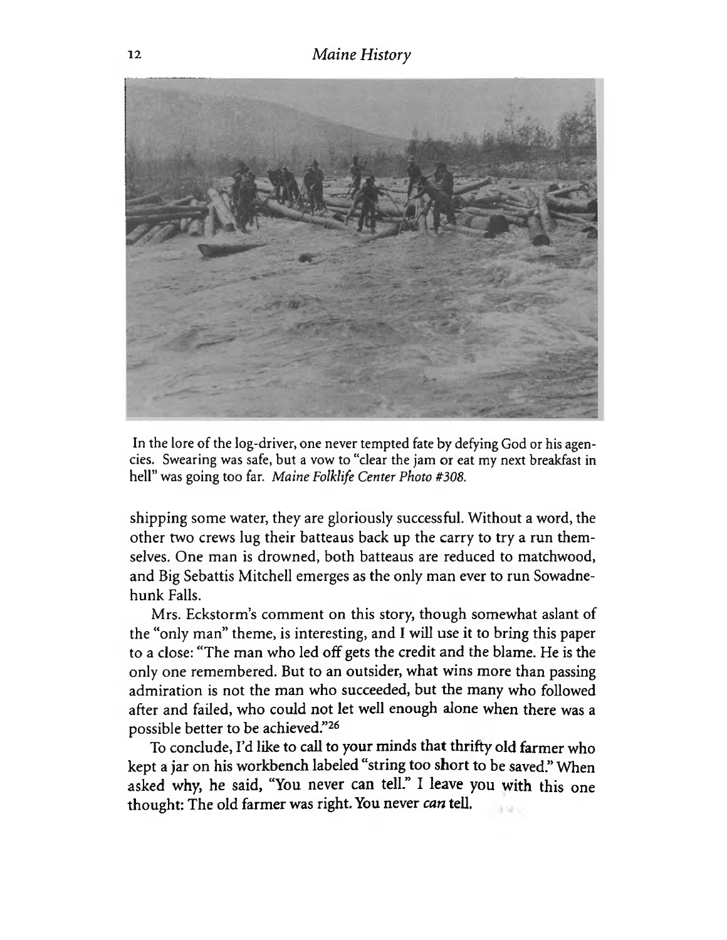

In the lore of the log-driver, one never tempted fate by defying God or his agencies. Swearing was safe, but a vow to "clear the jam or eat my next breakfast in hell" was going too far. *Maine Folklife Center Photo #308.*

**shipping some water, they are gloriously successful. Without a word, the other two crews lug their batteaus back up the carry to try a run themselves. One man is drowned, both batteaus are reduced to matchwood, and Big Sebattis Mitchell emerges as the only man ever to run Sowadnehunk Falls.**

**Mrs. Eckstorm's comment on this story, though somewhat aslant of the "only man" theme, is interesting, and I will use it to bring this paper to a close: "The man who led off gets the credit and the blame. He is the only one remembered. But to an outsider, what wins more than passing admiration is not the man who succeeded, but the many who followed after and failed, who could not let well enough alone when there was a possible better to be achieved**."26

**To conclude, I'd like to call to your minds that thrifty old farmer who kept a jar on his workbench labeled "string too short to be saved." When asked why, he said, "You never can tell." I leave you with this one thought: The old farmer was right. You never** *can* **tell.**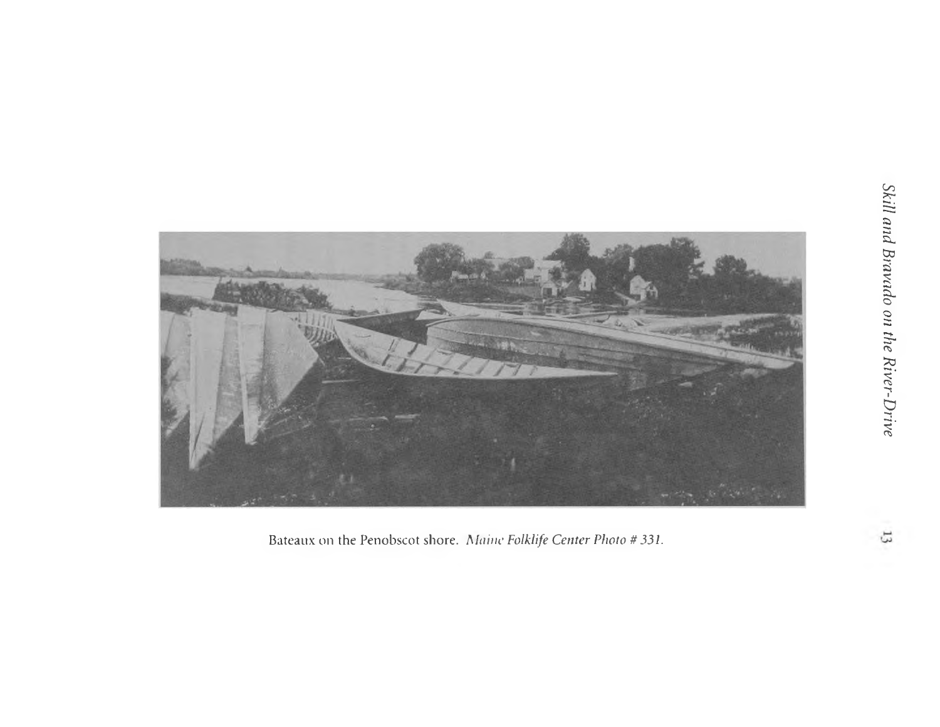

Bateaux on the Penobscot shore. *Maine Folklife Center Photo #331.*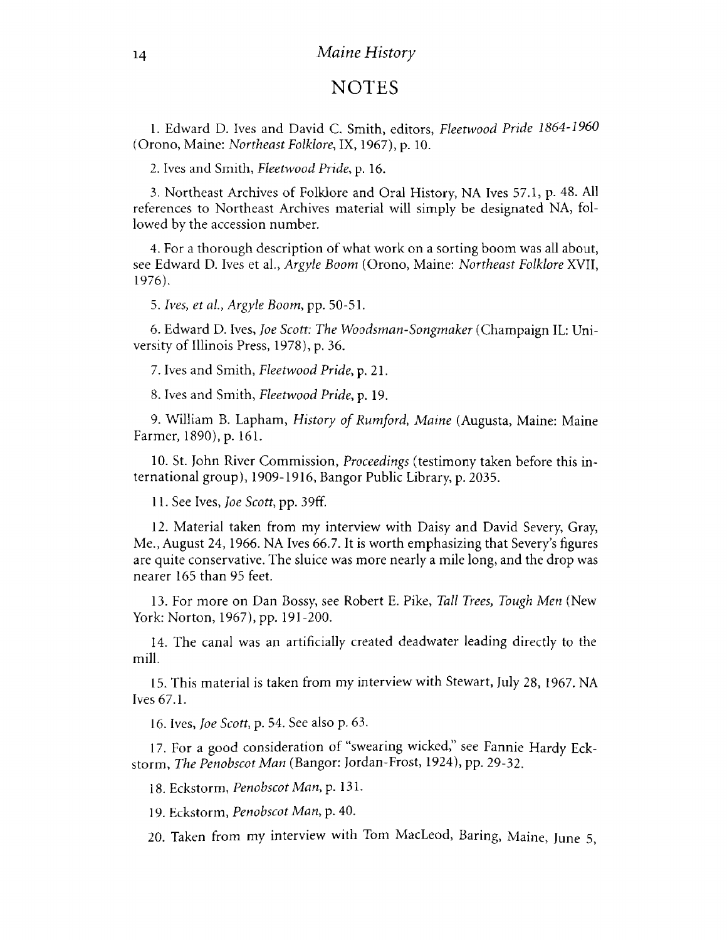## **NOTES**

1. Edward D. Ives and David C. Smith, editors, *Fleetwood Pride 1864-1960* (Orono, Maine: *Northeast Folklore,* IX, 1967), p. 10.

2. Ives and Smith, *Fleetwood Pride*, p. 16.

3. Northeast Archives of Folklore and Oral History, NA Ives 57.1, p. 48. All references to Northeast Archives material will simply be designated NA, followed by the accession number.

4. For a thorough description of what work on a sorting boom was all about, see Edward D. Ives et al., *Argyle Boom* (Orono, Maine: *Northeast Folklore* XVII, 1976).

5. *Ives, et a l, Argyle Boom*, pp. 50-51.

6. Edward D. Ives, *Joe Scott: The Woodsman-Songmaker* (Champaign IL: University of Illinois Press, 1978), p. 36.

7. Ives and Smith, *Fleetwood Pride*, p. 21.

8. Ives and Smith, *Fleetwood Pride*, p. 19.

9. William B. Lapham, *History of Rumford, Maine* (Augusta, Maine: Maine Farmer, 1890), p. 161.

10. St. John River Commission, *Proceedings* (testimony taken before this international group), 1909-1916, Bangor Public Library, p. 2035.

11. See Ives, *Joe Scott*, pp. 39ff.

12. Material taken from my interview with Daisy and David Severy, Gray, Me., August 24, 1966. NA Ives 66.7. It is worth emphasizing that Severy's figures are quite conservative. The sluice was more nearly a mile long, and the drop was nearer 165 than 95 feet.

13. For more on Dan Bossy, see Robert E. Pike, *Tall Trees, Tough Men* (New York: Norton, 1967), pp. 191-200.

14. The canal was an artificially created deadwater leading directly to the mill.

15. This material is taken from my interview with Stewart, July 28, 1967. NA Ives 67.1.

16. Ives, *Joe Scott*, p. 54. See also p. 63.

17. For a good consideration of "swearing wicked," see Fannie Hardy Eckstorm, *The Penobscot Man* (Bangor: Jordan-Frost, 1924), pp. 29-32.

18. Eckstorm, *Penobscot Man,* p. 131.

19. Eckstorm, *Penobscot Man*, p. 40.

20. Taken from my interview with Tom MacLeod, Baring, Maine, June 5,